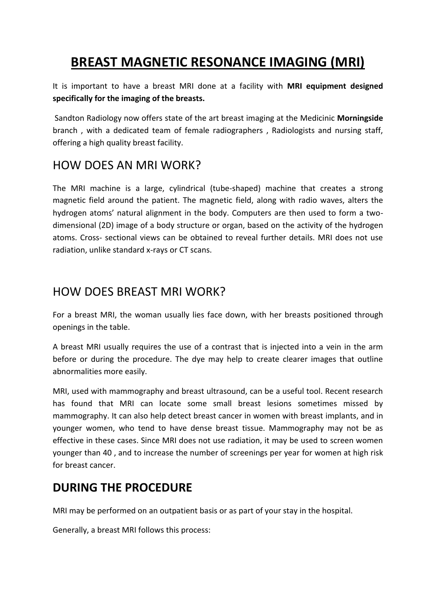# **BREAST MAGNETIC RESONANCE IMAGING (MRI)**

It is important to have a breast MRI done at a facility with **MRI equipment designed specifically for the imaging of the breasts.**

Sandton Radiology now offers state of the art breast imaging at the Medicinic **Morningside**  branch , with a dedicated team of female radiographers , Radiologists and nursing staff, offering a high quality breast facility.

#### HOW DOES AN MRI WORK?

The MRI machine is a large, cylindrical (tube-shaped) machine that creates a strong magnetic field around the patient. The magnetic field, along with radio waves, alters the hydrogen atoms' natural alignment in the body. Computers are then used to form a twodimensional (2D) image of a body structure or organ, based on the activity of the hydrogen atoms. Cross- sectional views can be obtained to reveal further details. MRI does not use radiation, unlike standard x-rays or CT scans.

## HOW DOES BREAST MRI WORK?

For a breast MRI, the woman usually lies face down, with her breasts positioned through openings in the table.

A breast MRI usually requires the use of a contrast that is injected into a vein in the arm before or during the procedure. The dye may help to create clearer images that outline abnormalities more easily.

MRI, used with mammography and breast ultrasound, can be a useful tool. Recent research has found that MRI can locate some small breast lesions sometimes missed by mammography. It can also help detect breast cancer in women with breast implants, and in younger women, who tend to have dense breast tissue. Mammography may not be as effective in these cases. Since MRI does not use radiation, it may be used to screen women younger than 40 , and to increase the number of screenings per year for women at high risk for breast cancer.

# **DURING THE PROCEDURE**

MRI may be performed on an outpatient basis or as part of your stay in the hospital.

Generally, a breast MRI follows this process: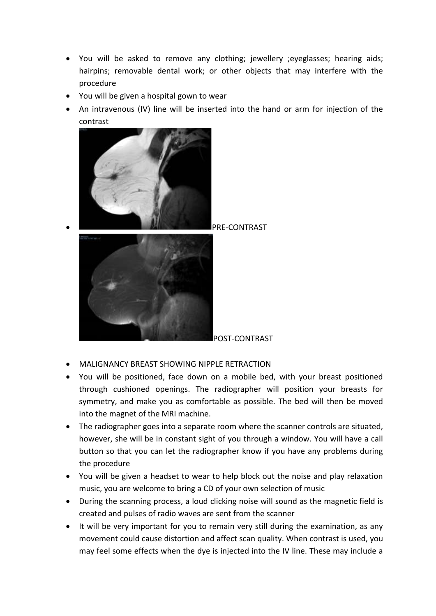- You will be asked to remove any clothing; jewellery ;eyeglasses; hearing aids; hairpins; removable dental work; or other objects that may interfere with the procedure
- You will be given a hospital gown to wear
- An intravenous (IV) line will be inserted into the hand or arm for injection of the contrast



- MALIGNANCY BREAST SHOWING NIPPLE RETRACTION
- You will be positioned, face down on a mobile bed, with your breast positioned through cushioned openings. The radiographer will position your breasts for symmetry, and make you as comfortable as possible. The bed will then be moved into the magnet of the MRI machine.
- The radiographer goes into a separate room where the scanner controls are situated, however, she will be in constant sight of you through a window. You will have a call button so that you can let the radiographer know if you have any problems during the procedure
- You will be given a headset to wear to help block out the noise and play relaxation music, you are welcome to bring a CD of your own selection of music
- During the scanning process, a loud clicking noise will sound as the magnetic field is created and pulses of radio waves are sent from the scanner
- It will be very important for you to remain very still during the examination, as any movement could cause distortion and affect scan quality. When contrast is used, you may feel some effects when the dye is injected into the IV line. These may include a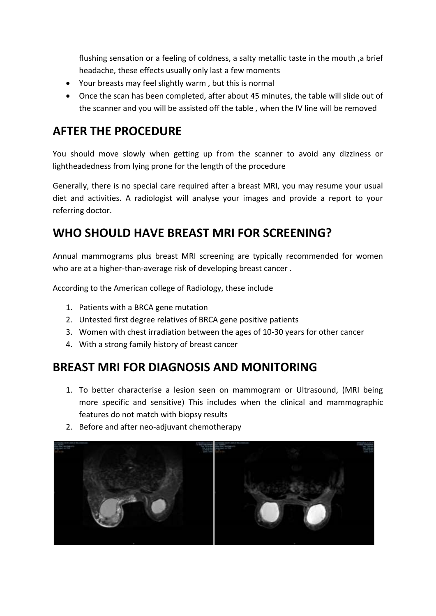flushing sensation or a feeling of coldness, a salty metallic taste in the mouth ,a brief headache, these effects usually only last a few moments

- Your breasts may feel slightly warm , but this is normal
- Once the scan has been completed, after about 45 minutes, the table will slide out of the scanner and you will be assisted off the table , when the IV line will be removed

## **AFTER THE PROCEDURE**

You should move slowly when getting up from the scanner to avoid any dizziness or lightheadedness from lying prone for the length of the procedure

Generally, there is no special care required after a breast MRI, you may resume your usual diet and activities. A radiologist will analyse your images and provide a report to your referring doctor.

# **WHO SHOULD HAVE BREAST MRI FOR SCREENING?**

Annual mammograms plus breast MRI screening are typically recommended for women who are at a higher-than-average risk of developing breast cancer .

According to the American college of Radiology, these include

- 1. Patients with a BRCA gene mutation
- 2. Untested first degree relatives of BRCA gene positive patients
- 3. Women with chest irradiation between the ages of 10-30 years for other cancer
- 4. With a strong family history of breast cancer

#### **BREAST MRI FOR DIAGNOSIS AND MONITORING**

- 1. To better characterise a lesion seen on mammogram or Ultrasound, (MRI being more specific and sensitive) This includes when the clinical and mammographic features do not match with biopsy results
- 2. Before and after neo-adjuvant chemotherapy